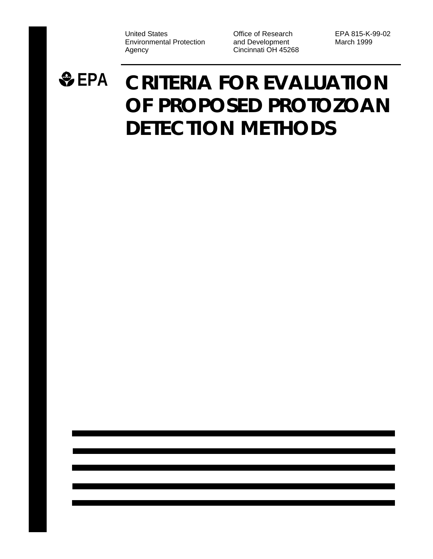United States Environmental Protection Agency

Office of Research and Development Cincinnati OH 45268 EPA 815-K-99-02 March 1999

# **EPA CRITERIA FOR EVALUATION OF PROPOSED PROTOZOAN DETECTION METHODS**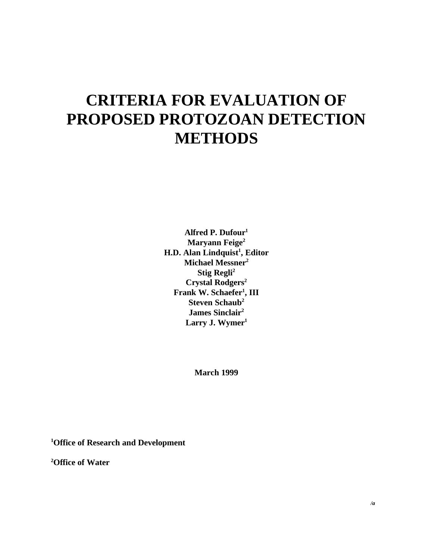## **CRITERIA FOR EVALUATION OF PROPOSED PROTOZOAN DETECTION METHODS**

**Alfred P. Dufour<sup>1</sup> Maryann Feige<sup>2</sup> H.D. Alan Lindquist<sup>1</sup> , Editor Michael Messner<sup>2</sup> Stig Regli<sup>2</sup> Crystal Rodgers<sup>2</sup> Frank W. Schaefer<sup>1</sup> , III Steven Schaub<sup>2</sup> James Sinclair<sup>2</sup> Larry J. Wymer<sup>1</sup>**

**March 1999**

**<sup>1</sup>Office of Research and Development**

**<sup>2</sup>Office of Water**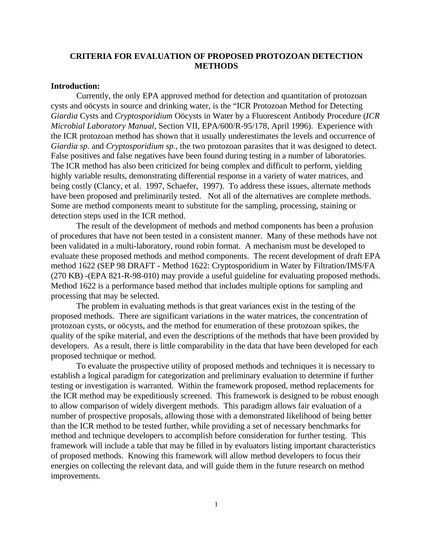## **CRITERIA FOR EVALUATION OF PROPOSED PROTOZOAN DETECTION METHODS**

#### **Introduction:**

Currently, the only EPA approved method for detection and quantitation of protozoan cysts and oöcysts in source and drinking water, is the "ICR Protozoan Method for Detecting *Giardia* Cysts and *Cryptosporidium* Oöcysts in Water by a Fluorescent Antibody Procedure (*ICR Microbial Laboratory Manual*, Section VII, EPA/600/R-95/178, April 1996). Experience with the ICR protozoan method has shown that it usually underestimates the levels and occurrence of *Giardia sp.* and *Cryptosporidium sp.*, the two protozoan parasites that it was designed to detect. False positives and false negatives have been found during testing in a number of laboratories. The ICR method has also been criticized for being complex and difficult to perform, yielding highly variable results, demonstrating differential response in a variety of water matrices, and being costly (Clancy, et al. 1997, Schaefer, 1997). To address these issues, alternate methods have been proposed and preliminarily tested. Not all of the alternatives are complete methods. Some are method components meant to substitute for the sampling, processing, staining or detection steps used in the ICR method.

The result of the development of methods and method components has been a profusion of procedures that have not been tested in a consistent manner. Many of these methods have not been validated in a multi-laboratory, round robin format. A mechanism must be developed to evaluate these proposed methods and method components. The recent development of draft EPA method 1622 (SEP 98 DRAFT - Method 1622: Cryptosporidium in Water by Filtration/IMS/FA (270 KB) -(EPA 821-R-98-010) may provide a useful guideline for evaluating proposed methods. Method 1622 is a performance based method that includes multiple options for sampling and processing that may be selected.

The problem in evaluating methods is that great variances exist in the testing of the proposed methods. There are significant variations in the water matrices, the concentration of protozoan cysts, or oöcysts, and the method for enumeration of these protozoan spikes, the quality of the spike material, and even the descriptions of the methods that have been provided by developers. As a result, there is little comparability in the data that have been developed for each proposed technique or method*.*

To evaluate the prospective utility of proposed methods and techniques it is necessary to establish a logical paradigm for categorization and preliminary evaluation to determine if further testing or investigation is warranted. Within the framework proposed, method replacements for the ICR method may be expeditiously screened. This framework is designed to be robust enough to allow comparison of widely divergent methods. This paradigm allows fair evaluation of a number of prospective proposals, allowing those with a demonstrated likelihood of being better than the ICR method to be tested further, while providing a set of necessary benchmarks for method and technique developers to accomplish before consideration for further testing. This framework will include a table that may be filled in by evaluators listing important characteristics of proposed methods. Knowing this framework will allow method developers to focus their energies on collecting the relevant data, and will guide them in the future research on method improvements.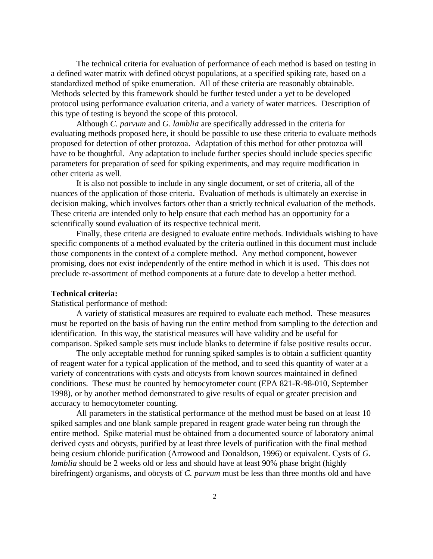The technical criteria for evaluation of performance of each method is based on testing in a defined water matrix with defined oöcyst populations, at a specified spiking rate, based on a standardized method of spike enumeration. All of these criteria are reasonably obtainable. Methods selected by this framework should be further tested under a yet to be developed protocol using performance evaluation criteria, and a variety of water matrices. Description of this type of testing is beyond the scope of this protocol.

Although *C. parvum* and *G. lamblia* are specifically addressed in the criteria for evaluating methods proposed here, it should be possible to use these criteria to evaluate methods proposed for detection of other protozoa. Adaptation of this method for other protozoa will have to be thoughtful. Any adaptation to include further species should include species specific parameters for preparation of seed for spiking experiments, and may require modification in other criteria as well.

It is also not possible to include in any single document, or set of criteria, all of the nuances of the application of those criteria. Evaluation of methods is ultimately an exercise in decision making, which involves factors other than a strictly technical evaluation of the methods. These criteria are intended only to help ensure that each method has an opportunity for a scientifically sound evaluation of its respective technical merit.

Finally, these criteria are designed to evaluate entire methods. Individuals wishing to have specific components of a method evaluated by the criteria outlined in this document must include those components in the context of a complete method. Any method component, however promising, does not exist independently of the entire method in which it is used. This does not preclude re-assortment of method components at a future date to develop a better method.

#### **Technical criteria:**

Statistical performance of method:

A variety of statistical measures are required to evaluate each method. These measures must be reported on the basis of having run the entire method from sampling to the detection and identification. In this way, the statistical measures will have validity and be useful for comparison. Spiked sample sets must include blanks to determine if false positive results occur.

The only acceptable method for running spiked samples is to obtain a sufficient quantity of reagent water for a typical application of the method, and to seed this quantity of water at a variety of concentrations with cysts and oöcysts from known sources maintained in defined conditions. These must be counted by hemocytometer count (EPA 821-R-98-010, September 1998), or by another method demonstrated to give results of equal or greater precision and accuracy to hemocytometer counting.

All parameters in the statistical performance of the method must be based on at least 10 spiked samples and one blank sample prepared in reagent grade water being run through the entire method. Spike material must be obtained from a documented source of laboratory animal derived cysts and oöcysts, purified by at least three levels of purification with the final method being cesium chloride purification (Arrowood and Donaldson, 1996) or equivalent. Cysts of *G. lamblia* should be 2 weeks old or less and should have at least 90% phase bright (highly birefringent) organisms, and oöcysts of *C. parvum* must be less than three months old and have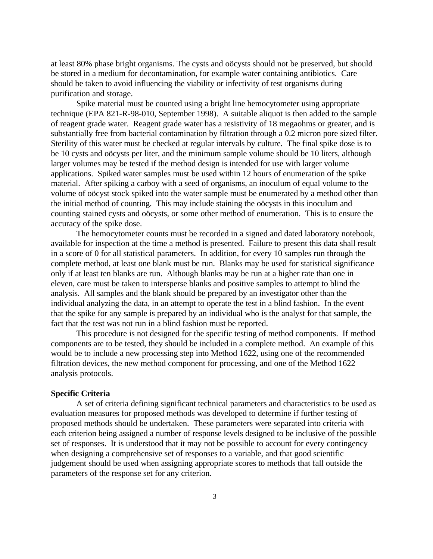at least 80% phase bright organisms. The cysts and oöcysts should not be preserved, but should be stored in a medium for decontamination, for example water containing antibiotics. Care should be taken to avoid influencing the viability or infectivity of test organisms during purification and storage.

Spike material must be counted using a bright line hemocytometer using appropriate technique (EPA 821-R-98-010, September 1998). A suitable aliquot is then added to the sample of reagent grade water. Reagent grade water has a resistivity of 18 megaohms or greater, and is substantially free from bacterial contamination by filtration through a 0.2 micron pore sized filter. Sterility of this water must be checked at regular intervals by culture. The final spike dose is to be 10 cysts and oöcysts per liter, and the minimum sample volume should be 10 liters, although larger volumes may be tested if the method design is intended for use with larger volume applications. Spiked water samples must be used within 12 hours of enumeration of the spike material. After spiking a carboy with a seed of organisms, an inoculum of equal volume to the volume of oöcyst stock spiked into the water sample must be enumerated by a method other than the initial method of counting. This may include staining the oöcysts in this inoculum and counting stained cysts and oöcysts, or some other method of enumeration. This is to ensure the accuracy of the spike dose.

The hemocytometer counts must be recorded in a signed and dated laboratory notebook, available for inspection at the time a method is presented. Failure to present this data shall result in a score of 0 for all statistical parameters. In addition, for every 10 samples run through the complete method, at least one blank must be run. Blanks may be used for statistical significance only if at least ten blanks are run. Although blanks may be run at a higher rate than one in eleven, care must be taken to intersperse blanks and positive samples to attempt to blind the analysis. All samples and the blank should be prepared by an investigator other than the individual analyzing the data, in an attempt to operate the test in a blind fashion. In the event that the spike for any sample is prepared by an individual who is the analyst for that sample, the fact that the test was not run in a blind fashion must be reported.

This procedure is not designed for the specific testing of method components. If method components are to be tested, they should be included in a complete method. An example of this would be to include a new processing step into Method 1622, using one of the recommended filtration devices, the new method component for processing, and one of the Method 1622 analysis protocols.

#### **Specific Criteria**

A set of criteria defining significant technical parameters and characteristics to be used as evaluation measures for proposed methods was developed to determine if further testing of proposed methods should be undertaken. These parameters were separated into criteria with each criterion being assigned a number of response levels designed to be inclusive of the possible set of responses. It is understood that it may not be possible to account for every contingency when designing a comprehensive set of responses to a variable, and that good scientific judgement should be used when assigning appropriate scores to methods that fall outside the parameters of the response set for any criterion.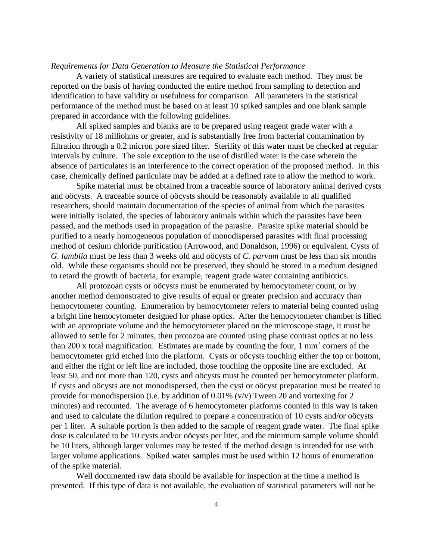#### *Requirements for Data Generation to Measure the Statistical Performance*

A variety of statistical measures are required to evaluate each method. They must be reported on the basis of having conducted the entire method from sampling to detection and identification to have validity or usefulness for comparison. All parameters in the statistical performance of the method must be based on at least 10 spiked samples and one blank sample prepared in accordance with the following guidelines.

All spiked samples and blanks are to be prepared using reagent grade water with a resistivity of 18 milliohms or greater, and is substantially free from bacterial contamination by filtration through a 0.2 micron pore sized filter. Sterility of this water must be checked at regular intervals by culture. The sole exception to the use of distilled water is the case wherein the absence of particulates is an interference to the correct operation of the proposed method. In this case, chemically defined particulate may be added at a defined rate to allow the method to work.

Spike material must be obtained from a traceable source of laboratory animal derived cysts and oöcysts. A traceable source of oöcysts should be reasonably available to all qualified researchers, should maintain documentation of the species of animal from which the parasites were initially isolated, the species of laboratory animals within which the parasites have been passed, and the methods used in propagation of the parasite. Parasite spike material should be purified to a nearly homogeneous population of monodispersed parasites with final processing method of cesium chloride purification (Arrowood, and Donaldson, 1996) or equivalent. Cysts of *G. lamblia* must be less than 3 weeks old and oöcysts of *C. parvum* must be less than six months old. While these organisms should not be preserved, they should be stored in a medium designed to retard the growth of bacteria, for example, reagent grade water containing antibiotics.

All protozoan cysts or oöcysts must be enumerated by hemocytometer count, or by another method demonstrated to give results of equal or greater precision and accuracy than hemocytometer counting. Enumeration by hemocytometer refers to material being counted using a bright line hemocytometer designed for phase optics. After the hemocytometer chamber is filled with an appropriate volume and the hemocytometer placed on the microscope stage, it must be allowed to settle for 2 minutes, then protozoa are counted using phase contrast optics at no less than 200 x total magnification. Estimates are made by counting the four,  $1 \text{ mm}^2$  corners of the hemocytometer grid etched into the platform. Cysts or oöcysts touching either the top or bottom, and either the right or left line are included, those touching the opposite line are excluded. At least 50, and not more than 120, cysts and oöcysts must be counted per hemocytometer platform. If cysts and oöcysts are not monodispersed, then the cyst or oöcyst preparation must be treated to provide for monodispersion (i.e. by addition of 0.01% (v/v) Tween 20 and vortexing for 2 minutes) and recounted. The average of 6 hemocytometer platforms counted in this way is taken and used to calculate the dilution required to prepare a concentration of 10 cysts and/or oöcysts per 1 liter. A suitable portion is then added to the sample of reagent grade water. The final spike dose is calculated to be 10 cysts and/or oöcysts per liter, and the minimum sample volume should be 10 liters, although larger volumes may be tested if the method design is intended for use with larger volume applications. Spiked water samples must be used within 12 hours of enumeration of the spike material.

Well documented raw data should be available for inspection at the time a method is presented. If this type of data is not available, the evaluation of statistical parameters will not be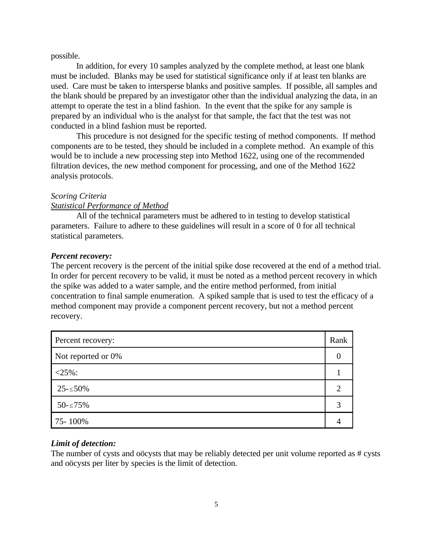#### possible.

In addition, for every 10 samples analyzed by the complete method, at least one blank must be included. Blanks may be used for statistical significance only if at least ten blanks are used. Care must be taken to intersperse blanks and positive samples. If possible, all samples and the blank should be prepared by an investigator other than the individual analyzing the data, in an attempt to operate the test in a blind fashion. In the event that the spike for any sample is prepared by an individual who is the analyst for that sample, the fact that the test was not conducted in a blind fashion must be reported.

This procedure is not designed for the specific testing of method components. If method components are to be tested, they should be included in a complete method. An example of this would be to include a new processing step into Method 1622, using one of the recommended filtration devices, the new method component for processing, and one of the Method 1622 analysis protocols.

#### *Scoring Criteria*

#### *Statistical Performance of Method*

All of the technical parameters must be adhered to in testing to develop statistical parameters. Failure to adhere to these guidelines will result in a score of 0 for all technical statistical parameters.

#### *Percent recovery:*

The percent recovery is the percent of the initial spike dose recovered at the end of a method trial. In order for percent recovery to be valid, it must be noted as a method percent recovery in which the spike was added to a water sample, and the entire method performed, from initial concentration to final sample enumeration. A spiked sample that is used to test the efficacy of a method component may provide a component percent recovery, but not a method percent recovery.

| Percent recovery:  | Rank |
|--------------------|------|
| Not reported or 0% |      |
| $<25\%$ :          |      |
| $25 - 50\%$        |      |
| $50 - 575%$        |      |
| 75-100%            |      |

#### *Limit of detection:*

The number of cysts and oöcysts that may be reliably detected per unit volume reported as # cysts and oöcysts per liter by species is the limit of detection.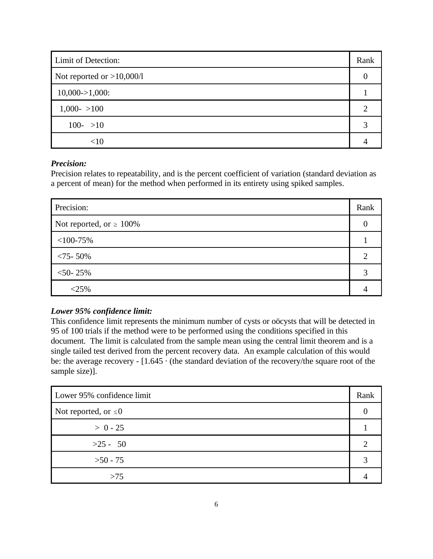| Limit of Detection:          | Rank |
|------------------------------|------|
| Not reported or $>10,000/1$  |      |
| $10,000 \rightarrow 1,000$ : |      |
| $1,000 - 100$                |      |
| $100 - 10$                   |      |
| <10                          |      |

## *Precision:*

Precision relates to repeatability, and is the percent coefficient of variation (standard deviation as a percent of mean) for the method when performed in its entirety using spiked samples.

| Precision:                    | Rank |
|-------------------------------|------|
| Not reported, or $\geq 100\%$ |      |
| $<$ 100-75%                   |      |
| $< 75 - 50\%$                 |      |
| $<$ 50-25%                    |      |
| $<$ 25%                       |      |

## *Lower 95% confidence limit:*

This confidence limit represents the minimum number of cysts or oöcysts that will be detected in 95 of 100 trials if the method were to be performed using the conditions specified in this document. The limit is calculated from the sample mean using the central limit theorem and is a single tailed test derived from the percent recovery data. An example calculation of this would be: the average recovery - [1.645 · (the standard deviation of the recovery/the square root of the sample size)].

| Lower 95% confidence limit | Rank |
|----------------------------|------|
| Not reported, or $\leq 0$  |      |
| $> 0 - 25$                 |      |
| $>25 - 50$                 |      |
| $>50 - 75$                 |      |
| >75                        |      |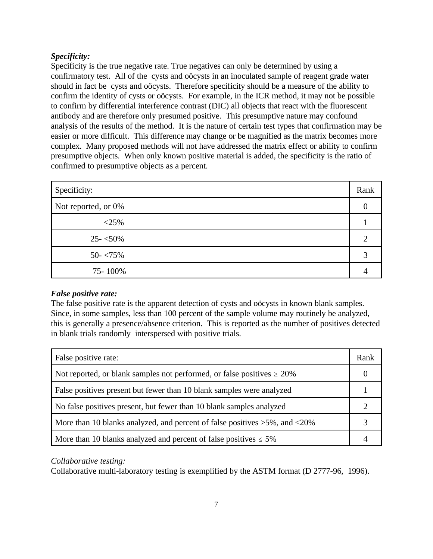## *Specificity:*

Specificity is the true negative rate. True negatives can only be determined by using a confirmatory test. All of the cysts and oöcysts in an inoculated sample of reagent grade water should in fact be cysts and oöcysts. Therefore specificity should be a measure of the ability to confirm the identity of cysts or oöcysts. For example, in the ICR method, it may not be possible to confirm by differential interference contrast (DIC) all objects that react with the fluorescent antibody and are therefore only presumed positive. This presumptive nature may confound analysis of the results of the method. It is the nature of certain test types that confirmation may be easier or more difficult. This difference may change or be magnified as the matrix becomes more complex. Many proposed methods will not have addressed the matrix effect or ability to confirm presumptive objects. When only known positive material is added, the specificity is the ratio of confirmed to presumptive objects as a percent.

| Specificity:        | Rank |
|---------------------|------|
| Not reported, or 0% |      |
| $<$ 25%             |      |
| $25 - 50\%$         |      |
| $50 - 75\%$         |      |
| 75-100%             |      |

## *False positive rate:*

The false positive rate is the apparent detection of cysts and oöcysts in known blank samples. Since, in some samples, less than 100 percent of the sample volume may routinely be analyzed, this is generally a presence/absence criterion. This is reported as the number of positives detected in blank trials randomly interspersed with positive trials.

| False positive rate:                                                              | Rank |
|-----------------------------------------------------------------------------------|------|
| Not reported, or blank samples not performed, or false positives $\geq 20\%$      |      |
| False positives present but fewer than 10 blank samples were analyzed             |      |
| No false positives present, but fewer than 10 blank samples analyzed              |      |
| More than 10 blanks analyzed, and percent of false positives $>5\%$ , and $<20\%$ |      |
| More than 10 blanks analyzed and percent of false positives $\leq 5\%$            |      |

## *Collaborative testing:*

Collaborative multi-laboratory testing is exemplified by the ASTM format (D 2777-96, 1996).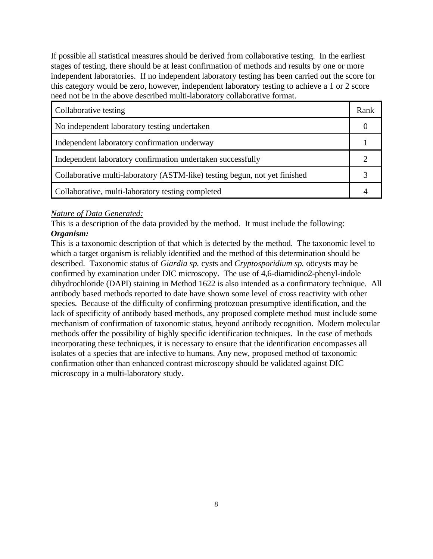If possible all statistical measures should be derived from collaborative testing. In the earliest stages of testing, there should be at least confirmation of methods and results by one or more independent laboratories. If no independent laboratory testing has been carried out the score for this category would be zero, however, independent laboratory testing to achieve a 1 or 2 score need not be in the above described multi-laboratory collaborative format.

| Collaborative testing                                                      | Rank |
|----------------------------------------------------------------------------|------|
| No independent laboratory testing undertaken                               |      |
| Independent laboratory confirmation underway                               |      |
| Independent laboratory confirmation undertaken successfully                |      |
| Collaborative multi-laboratory (ASTM-like) testing begun, not yet finished |      |
| Collaborative, multi-laboratory testing completed                          |      |

#### *Nature of Data Generated:*

This is a description of the data provided by the method. It must include the following: *Organism:*

This is a taxonomic description of that which is detected by the method. The taxonomic level to which a target organism is reliably identified and the method of this determination should be described. Taxonomic status of *Giardia sp.* cysts and *Cryptosporidium sp.* oöcysts may be confirmed by examination under DIC microscopy. The use of 4,6-diamidino2-phenyl-indole dihydrochloride (DAPI) staining in Method 1622 is also intended as a confirmatory technique. All antibody based methods reported to date have shown some level of cross reactivity with other species. Because of the difficulty of confirming protozoan presumptive identification, and the lack of specificity of antibody based methods, any proposed complete method must include some mechanism of confirmation of taxonomic status, beyond antibody recognition. Modern molecular methods offer the possibility of highly specific identification techniques. In the case of methods incorporating these techniques, it is necessary to ensure that the identification encompasses all isolates of a species that are infective to humans. Any new, proposed method of taxonomic confirmation other than enhanced contrast microscopy should be validated against DIC microscopy in a multi-laboratory study.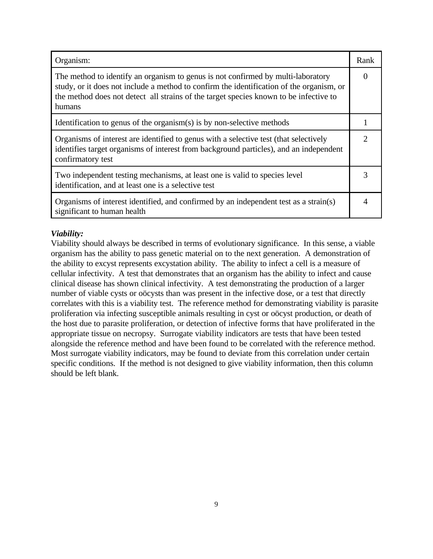| Organism:                                                                                                                                                                                                                                                                       | Rank |
|---------------------------------------------------------------------------------------------------------------------------------------------------------------------------------------------------------------------------------------------------------------------------------|------|
| The method to identify an organism to genus is not confirmed by multi-laboratory<br>study, or it does not include a method to confirm the identification of the organism, or<br>the method does not detect all strains of the target species known to be infective to<br>humans |      |
| Identification to genus of the organism $(s)$ is by non-selective methods                                                                                                                                                                                                       |      |
| Organisms of interest are identified to genus with a selective test (that selectively<br>identifies target organisms of interest from background particles), and an independent<br>confirmatory test                                                                            | 2    |
| Two independent testing mechanisms, at least one is valid to species level<br>identification, and at least one is a selective test                                                                                                                                              |      |
| Organisms of interest identified, and confirmed by an independent test as a strain(s)<br>significant to human health                                                                                                                                                            |      |

## *Viability:*

Viability should always be described in terms of evolutionary significance. In this sense, a viable organism has the ability to pass genetic material on to the next generation. A demonstration of the ability to excyst represents excystation ability. The ability to infect a cell is a measure of cellular infectivity. A test that demonstrates that an organism has the ability to infect and cause clinical disease has shown clinical infectivity. A test demonstrating the production of a larger number of viable cysts or oöcysts than was present in the infective dose, or a test that directly correlates with this is a viability test. The reference method for demonstrating viability is parasite proliferation via infecting susceptible animals resulting in cyst or oöcyst production, or death of the host due to parasite proliferation, or detection of infective forms that have proliferated in the appropriate tissue on necropsy. Surrogate viability indicators are tests that have been tested alongside the reference method and have been found to be correlated with the reference method. Most surrogate viability indicators, may be found to deviate from this correlation under certain specific conditions. If the method is not designed to give viability information, then this column should be left blank.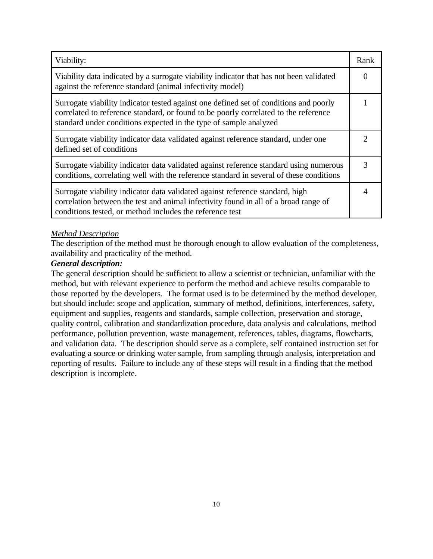| Viability:                                                                                                                                                                                                                                        | Rank |
|---------------------------------------------------------------------------------------------------------------------------------------------------------------------------------------------------------------------------------------------------|------|
| Viability data indicated by a surrogate viability indicator that has not been validated<br>against the reference standard (animal infectivity model)                                                                                              |      |
| Surrogate viability indicator tested against one defined set of conditions and poorly<br>correlated to reference standard, or found to be poorly correlated to the reference<br>standard under conditions expected in the type of sample analyzed |      |
| Surrogate viability indicator data validated against reference standard, under one<br>defined set of conditions                                                                                                                                   |      |
| Surrogate viability indicator data validated against reference standard using numerous<br>conditions, correlating well with the reference standard in several of these conditions                                                                 | 3    |
| Surrogate viability indicator data validated against reference standard, high<br>correlation between the test and animal infectivity found in all of a broad range of<br>conditions tested, or method includes the reference test                 |      |

## *Method Description*

The description of the method must be thorough enough to allow evaluation of the completeness, availability and practicality of the method.

## *General description:*

The general description should be sufficient to allow a scientist or technician, unfamiliar with the method, but with relevant experience to perform the method and achieve results comparable to those reported by the developers. The format used is to be determined by the method developer, but should include: scope and application, summary of method, definitions, interferences, safety, equipment and supplies, reagents and standards, sample collection, preservation and storage, quality control, calibration and standardization procedure, data analysis and calculations, method performance, pollution prevention, waste management, references, tables, diagrams, flowcharts, and validation data. The description should serve as a complete, self contained instruction set for evaluating a source or drinking water sample, from sampling through analysis, interpretation and reporting of results. Failure to include any of these steps will result in a finding that the method description is incomplete.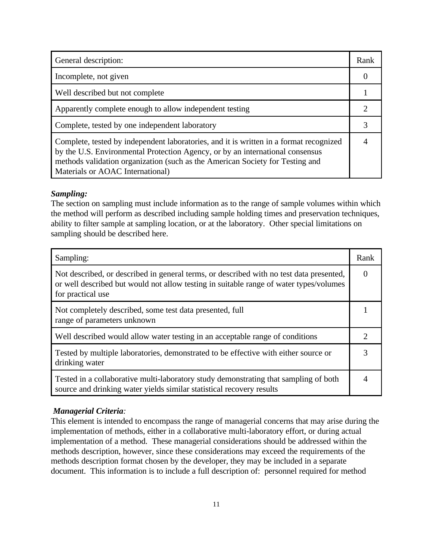| General description:                                                                                                                                                                                                                                                                         | Rank |
|----------------------------------------------------------------------------------------------------------------------------------------------------------------------------------------------------------------------------------------------------------------------------------------------|------|
| Incomplete, not given                                                                                                                                                                                                                                                                        |      |
| Well described but not complete                                                                                                                                                                                                                                                              |      |
| Apparently complete enough to allow independent testing                                                                                                                                                                                                                                      |      |
| Complete, tested by one independent laboratory                                                                                                                                                                                                                                               |      |
| Complete, tested by independent laboratories, and it is written in a format recognized<br>by the U.S. Environmental Protection Agency, or by an international consensus<br>methods validation organization (such as the American Society for Testing and<br>Materials or AOAC International) |      |

#### *Sampling:*

The section on sampling must include information as to the range of sample volumes within which the method will perform as described including sample holding times and preservation techniques, ability to filter sample at sampling location, or at the laboratory. Other special limitations on sampling should be described here.

| Sampling:                                                                                                                                                                                              | Rank |
|--------------------------------------------------------------------------------------------------------------------------------------------------------------------------------------------------------|------|
| Not described, or described in general terms, or described with no test data presented,<br>or well described but would not allow testing in suitable range of water types/volumes<br>for practical use |      |
| Not completely described, some test data presented, full<br>range of parameters unknown                                                                                                                |      |
| Well described would allow water testing in an acceptable range of conditions                                                                                                                          |      |
| Tested by multiple laboratories, demonstrated to be effective with either source or<br>drinking water                                                                                                  |      |
| Tested in a collaborative multi-laboratory study demonstrating that sampling of both<br>source and drinking water yields similar statistical recovery results                                          |      |

## *Managerial Criteria:*

This element is intended to encompass the range of managerial concerns that may arise during the implementation of methods, either in a collaborative multi-laboratory effort, or during actual implementation of a method. These managerial considerations should be addressed within the methods description, however, since these considerations may exceed the requirements of the methods description format chosen by the developer, they may be included in a separate document. This information is to include a full description of: personnel required for method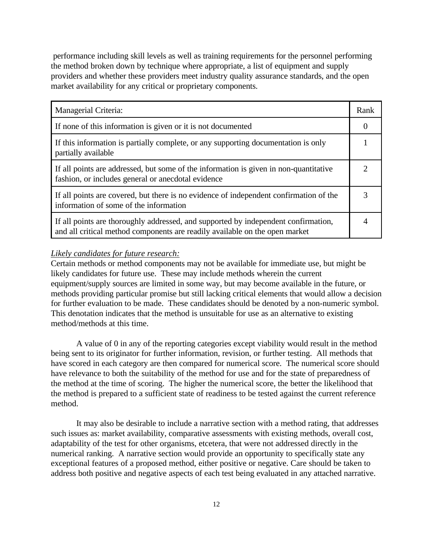performance including skill levels as well as training requirements for the personnel performing the method broken down by technique where appropriate, a list of equipment and supply providers and whether these providers meet industry quality assurance standards, and the open market availability for any critical or proprietary components.

| Managerial Criteria:                                                                                                                                              | Rank |
|-------------------------------------------------------------------------------------------------------------------------------------------------------------------|------|
| If none of this information is given or it is not documented                                                                                                      |      |
| If this information is partially complete, or any supporting documentation is only<br>partially available                                                         |      |
| If all points are addressed, but some of the information is given in non-quantitative<br>fashion, or includes general or anecdotal evidence                       |      |
| If all points are covered, but there is no evidence of independent confirmation of the<br>information of some of the information                                  |      |
| If all points are thoroughly addressed, and supported by independent confirmation,<br>and all critical method components are readily available on the open market |      |

#### *Likely candidates for future research:*

Certain methods or method components may not be available for immediate use, but might be likely candidates for future use. These may include methods wherein the current equipment/supply sources are limited in some way, but may become available in the future, or methods providing particular promise but still lacking critical elements that would allow a decision for further evaluation to be made. These candidates should be denoted by a non-numeric symbol. This denotation indicates that the method is unsuitable for use as an alternative to existing method/methods at this time.

A value of 0 in any of the reporting categories except viability would result in the method being sent to its originator for further information, revision, or further testing. All methods that have scored in each category are then compared for numerical score. The numerical score should have relevance to both the suitability of the method for use and for the state of preparedness of the method at the time of scoring. The higher the numerical score, the better the likelihood that the method is prepared to a sufficient state of readiness to be tested against the current reference method.

It may also be desirable to include a narrative section with a method rating, that addresses such issues as: market availability, comparative assessments with existing methods, overall cost, adaptability of the test for other organisms, etcetera, that were not addressed directly in the numerical ranking. A narrative section would provide an opportunity to specifically state any exceptional features of a proposed method, either positive or negative. Care should be taken to address both positive and negative aspects of each test being evaluated in any attached narrative.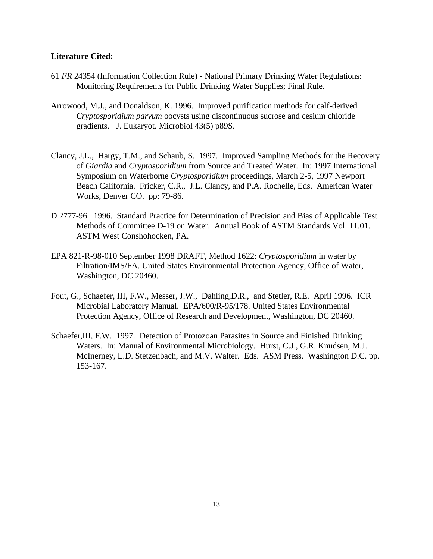#### **Literature Cited:**

- 61 *FR* 24354 (Information Collection Rule) National Primary Drinking Water Regulations: Monitoring Requirements for Public Drinking Water Supplies; Final Rule.
- Arrowood, M.J., and Donaldson, K. 1996. Improved purification methods for calf-derived *Cryptosporidium parvum* oocysts using discontinuous sucrose and cesium chloride gradients. J. Eukaryot. Microbiol 43(5) p89S.
- Clancy, J.L., Hargy, T.M., and Schaub, S. 1997. Improved Sampling Methods for the Recovery of *Giardia* and *Cryptosporidium* from Source and Treated Water. In: 1997 International Symposium on Waterborne *Cryptosporidium* proceedings, March 2-5, 1997 Newport Beach California. Fricker, C.R., J.L. Clancy, and P.A. Rochelle, Eds. American Water Works, Denver CO. pp: 79-86.
- D 2777-96. 1996. Standard Practice for Determination of Precision and Bias of Applicable Test Methods of Committee D-19 on Water. Annual Book of ASTM Standards Vol. 11.01. ASTM West Conshohocken, PA.
- EPA 821-R-98-010 September 1998 DRAFT, Method 1622: *Cryptosporidium* in water by Filtration/IMS/FA. United States Environmental Protection Agency, Office of Water, Washington, DC 20460.
- Fout, G., Schaefer, III, F.W., Messer, J.W., Dahling,D.R., and Stetler, R.E. April 1996. ICR Microbial Laboratory Manual. EPA/600/R-95/178. United States Environmental Protection Agency, Office of Research and Development, Washington, DC 20460.
- Schaefer,III, F.W. 1997. Detection of Protozoan Parasites in Source and Finished Drinking Waters. In: Manual of Environmental Microbiology. Hurst, C.J., G.R. Knudsen, M.J. McInerney, L.D. Stetzenbach, and M.V. Walter. Eds. ASM Press. Washington D.C. pp. 153-167.